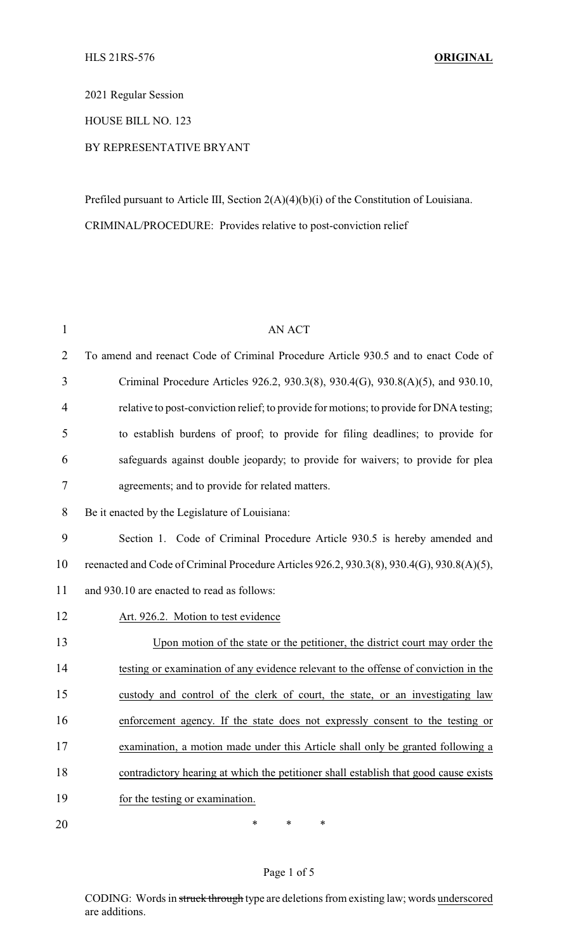2021 Regular Session

HOUSE BILL NO. 123

## BY REPRESENTATIVE BRYANT

Prefiled pursuant to Article III, Section 2(A)(4)(b)(i) of the Constitution of Louisiana. CRIMINAL/PROCEDURE: Provides relative to post-conviction relief

| $\mathbf{1}$   | <b>AN ACT</b>                                                                             |  |
|----------------|-------------------------------------------------------------------------------------------|--|
| $\overline{2}$ | To amend and reenact Code of Criminal Procedure Article 930.5 and to enact Code of        |  |
| 3              | Criminal Procedure Articles 926.2, 930.3(8), 930.4(G), 930.8(A)(5), and 930.10,           |  |
| $\overline{4}$ | relative to post-conviction relief; to provide for motions; to provide for DNA testing;   |  |
| 5              | to establish burdens of proof; to provide for filing deadlines; to provide for            |  |
| 6              | safeguards against double jeopardy; to provide for waivers; to provide for plea           |  |
| $\tau$         | agreements; and to provide for related matters.                                           |  |
| 8              | Be it enacted by the Legislature of Louisiana:                                            |  |
| 9              | Section 1. Code of Criminal Procedure Article 930.5 is hereby amended and                 |  |
| 10             | reenacted and Code of Criminal Procedure Articles 926.2, 930.3(8), 930.4(G), 930.8(A)(5), |  |
| 11             | and 930.10 are enacted to read as follows:                                                |  |
| 12             | Art. 926.2. Motion to test evidence                                                       |  |
| 13             | Upon motion of the state or the petitioner, the district court may order the              |  |
| 14             | testing or examination of any evidence relevant to the offense of conviction in the       |  |
| 15             | custody and control of the clerk of court, the state, or an investigating law             |  |
| 16             | enforcement agency. If the state does not expressly consent to the testing or             |  |
| 17             | examination, a motion made under this Article shall only be granted following a           |  |
| 18             | contradictory hearing at which the petitioner shall establish that good cause exists      |  |
| 19             | for the testing or examination.                                                           |  |
| 20             | $\ast$<br>$\ast$<br>∗                                                                     |  |

#### Page 1 of 5

CODING: Words in struck through type are deletions from existing law; words underscored are additions.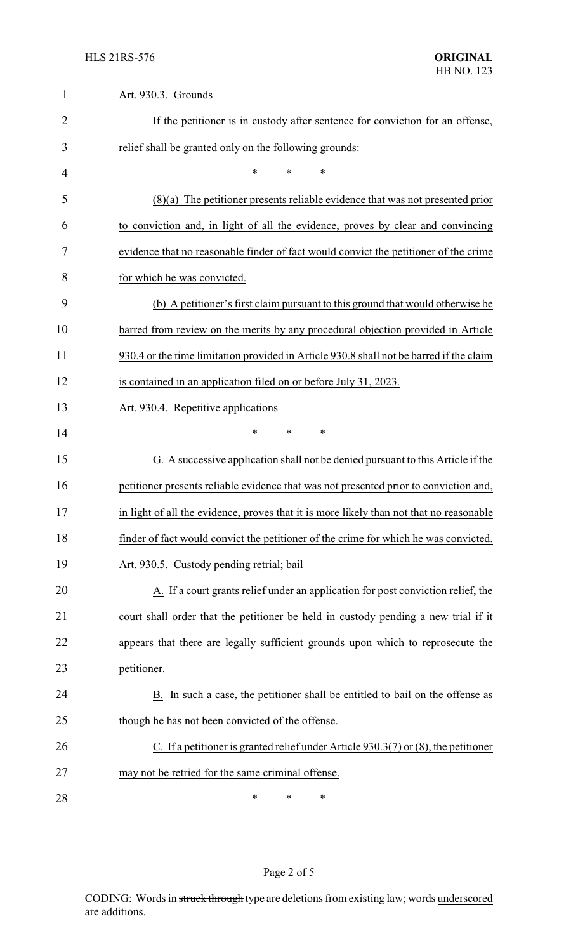| $\mathbf{1}$   | Art. 930.3. Grounds                                                                     |
|----------------|-----------------------------------------------------------------------------------------|
| $\overline{2}$ | If the petitioner is in custody after sentence for conviction for an offense,           |
| 3              | relief shall be granted only on the following grounds:                                  |
| 4              | *<br>$\ast$<br>∗                                                                        |
| 5              | $(8)(a)$ The petitioner presents reliable evidence that was not presented prior         |
| 6              | to conviction and, in light of all the evidence, proves by clear and convincing         |
| 7              | evidence that no reasonable finder of fact would convict the petitioner of the crime    |
| 8              | for which he was convicted.                                                             |
| 9              | (b) A petitioner's first claim pursuant to this ground that would otherwise be          |
| 10             | barred from review on the merits by any procedural objection provided in Article        |
| 11             | 930.4 or the time limitation provided in Article 930.8 shall not be barred if the claim |
| 12             | is contained in an application filed on or before July 31, 2023.                        |
| 13             | Art. 930.4. Repetitive applications                                                     |
| 14             | *<br>*<br>*                                                                             |
| 15             | G. A successive application shall not be denied pursuant to this Article if the         |
| 16             | petitioner presents reliable evidence that was not presented prior to conviction and,   |
| 17             | in light of all the evidence, proves that it is more likely than not that no reasonable |
| 18             | finder of fact would convict the petitioner of the crime for which he was convicted.    |
| 19             | Art. 930.5. Custody pending retrial; bail                                               |
| 20             | A. If a court grants relief under an application for post conviction relief, the        |
| 21             | court shall order that the petitioner be held in custody pending a new trial if it      |
| 22             | appears that there are legally sufficient grounds upon which to reprosecute the         |
| 23             | petitioner.                                                                             |
| 24             | B. In such a case, the petitioner shall be entitled to bail on the offense as           |
| 25             | though he has not been convicted of the offense.                                        |
| 26             | C. If a petitioner is granted relief under Article $930.3(7)$ or $(8)$ , the petitioner |
| 27             | may not be retried for the same criminal offense.                                       |
| 28             | ∗<br>∗<br>∗                                                                             |

# Page 2 of 5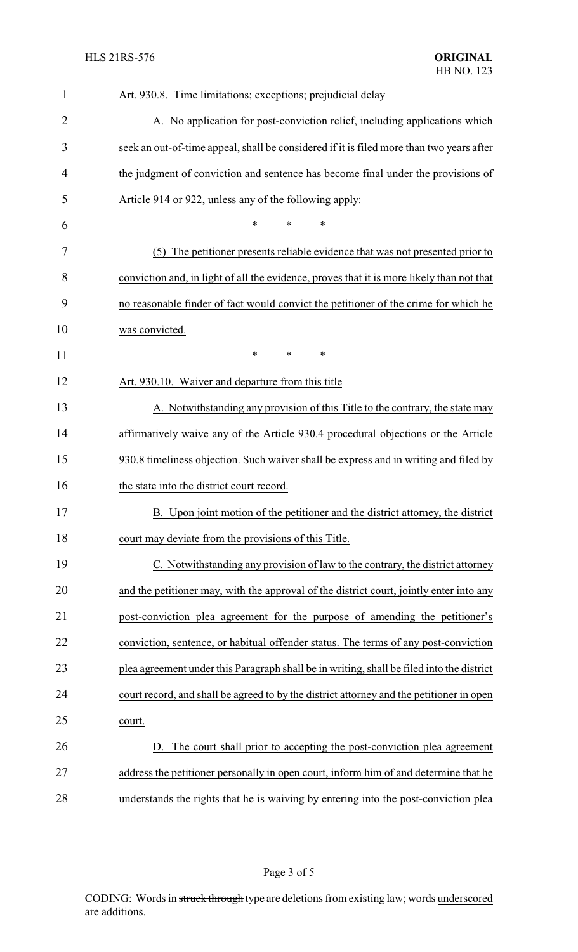| 1              | Art. 930.8. Time limitations; exceptions; prejudicial delay                               |  |  |
|----------------|-------------------------------------------------------------------------------------------|--|--|
| $\overline{2}$ | A. No application for post-conviction relief, including applications which                |  |  |
| 3              | seek an out-of-time appeal, shall be considered if it is filed more than two years after  |  |  |
| 4              | the judgment of conviction and sentence has become final under the provisions of          |  |  |
| 5              | Article 914 or 922, unless any of the following apply:                                    |  |  |
| 6              | *<br>∗<br>*                                                                               |  |  |
| 7              | (5) The petitioner presents reliable evidence that was not presented prior to             |  |  |
| 8              | conviction and, in light of all the evidence, proves that it is more likely than not that |  |  |
| 9              | no reasonable finder of fact would convict the petitioner of the crime for which he       |  |  |
| 10             | was convicted.                                                                            |  |  |
| 11             | *<br>*<br>*                                                                               |  |  |
| 12             | Art. 930.10. Waiver and departure from this title                                         |  |  |
| 13             | A. Notwithstanding any provision of this Title to the contrary, the state may             |  |  |
| 14             | affirmatively waive any of the Article 930.4 procedural objections or the Article         |  |  |
| 15             | 930.8 timeliness objection. Such waiver shall be express and in writing and filed by      |  |  |
| 16             | the state into the district court record.                                                 |  |  |
| 17             | B. Upon joint motion of the petitioner and the district attorney, the district            |  |  |
| 18             | court may deviate from the provisions of this Title.                                      |  |  |
| 19             | C. Notwithstanding any provision of law to the contrary, the district attorney            |  |  |
| 20             | and the petitioner may, with the approval of the district court, jointly enter into any   |  |  |
| 21             | post-conviction plea agreement for the purpose of amending the petitioner's               |  |  |
| 22             | conviction, sentence, or habitual offender status. The terms of any post-conviction       |  |  |
| 23             | plea agreement under this Paragraph shall be in writing, shall be filed into the district |  |  |
| 24             | court record, and shall be agreed to by the district attorney and the petitioner in open  |  |  |
| 25             | court.                                                                                    |  |  |
| 26             | D. The court shall prior to accepting the post-conviction plea agreement                  |  |  |
| 27             | address the petitioner personally in open court, inform him of and determine that he      |  |  |
| 28             | understands the rights that he is waiving by entering into the post-conviction plea       |  |  |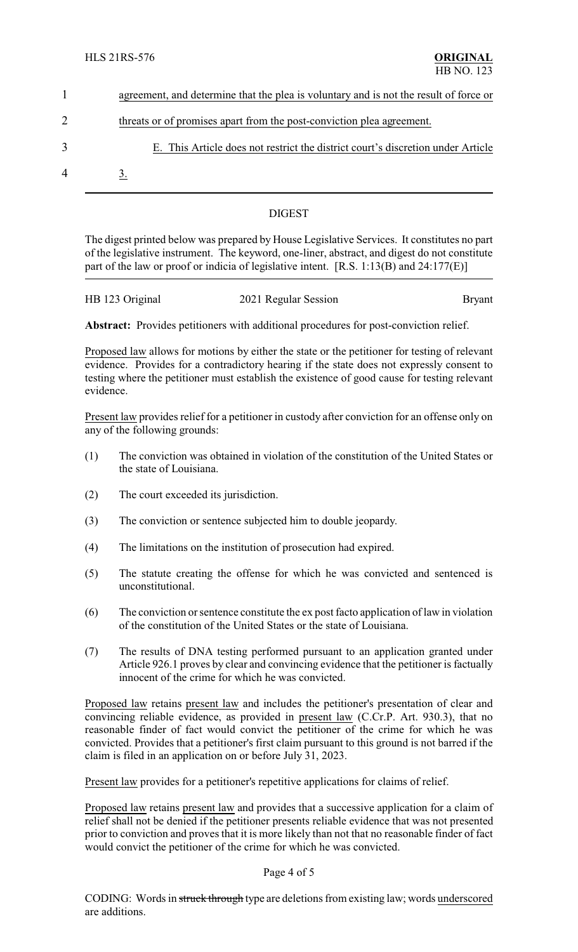|                | agreement, and determine that the plea is voluntary and is not the result of force or |  |  |
|----------------|---------------------------------------------------------------------------------------|--|--|
|                | threats or of promises apart from the post-conviction plea agreement.                 |  |  |
| 3              | E. This Article does not restrict the district court's discretion under Article       |  |  |
| $\overline{4}$ |                                                                                       |  |  |

## DIGEST

The digest printed below was prepared by House Legislative Services. It constitutes no part of the legislative instrument. The keyword, one-liner, abstract, and digest do not constitute part of the law or proof or indicia of legislative intent. [R.S. 1:13(B) and 24:177(E)]

| HB 123 Original | 2021 Regular Session | <b>Bryant</b> |
|-----------------|----------------------|---------------|
|                 |                      |               |

**Abstract:** Provides petitioners with additional procedures for post-conviction relief.

Proposed law allows for motions by either the state or the petitioner for testing of relevant evidence. Provides for a contradictory hearing if the state does not expressly consent to testing where the petitioner must establish the existence of good cause for testing relevant evidence.

Present law provides relief for a petitioner in custody after conviction for an offense only on any of the following grounds:

- (1) The conviction was obtained in violation of the constitution of the United States or the state of Louisiana.
- (2) The court exceeded its jurisdiction.
- (3) The conviction or sentence subjected him to double jeopardy.
- (4) The limitations on the institution of prosecution had expired.
- (5) The statute creating the offense for which he was convicted and sentenced is unconstitutional.
- (6) The conviction or sentence constitute the ex post facto application of law in violation of the constitution of the United States or the state of Louisiana.
- (7) The results of DNA testing performed pursuant to an application granted under Article 926.1 proves by clear and convincing evidence that the petitioner is factually innocent of the crime for which he was convicted.

Proposed law retains present law and includes the petitioner's presentation of clear and convincing reliable evidence, as provided in present law (C.Cr.P. Art. 930.3), that no reasonable finder of fact would convict the petitioner of the crime for which he was convicted. Provides that a petitioner's first claim pursuant to this ground is not barred if the claim is filed in an application on or before July 31, 2023.

Present law provides for a petitioner's repetitive applications for claims of relief.

Proposed law retains present law and provides that a successive application for a claim of relief shall not be denied if the petitioner presents reliable evidence that was not presented prior to conviction and proves that it is more likely than not that no reasonable finder of fact would convict the petitioner of the crime for which he was convicted.

### Page 4 of 5